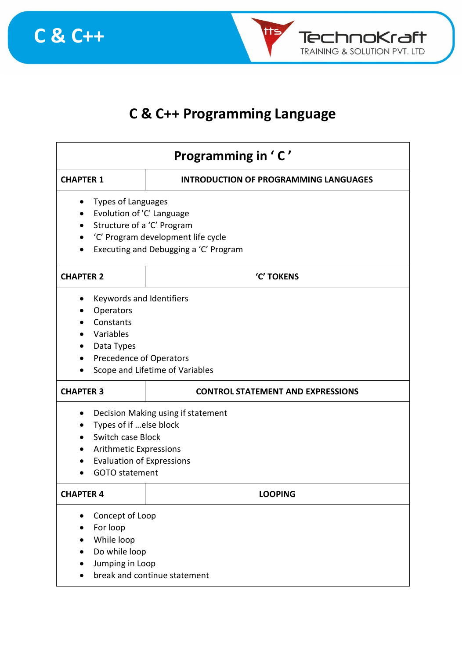



## **C & C++ Programming Language**

| Programming in 'C'                                                                                                                                                              |                                                                                        |  |  |
|---------------------------------------------------------------------------------------------------------------------------------------------------------------------------------|----------------------------------------------------------------------------------------|--|--|
| <b>CHAPTER 1</b>                                                                                                                                                                | <b>INTRODUCTION OF PROGRAMMING LANGUAGES</b>                                           |  |  |
| <b>Types of Languages</b><br>Evolution of 'C' Language<br>Structure of a 'C' Program                                                                                            | 'C' Program development life cycle<br>Executing and Debugging a 'C' Program            |  |  |
| <b>CHAPTER 2</b>                                                                                                                                                                | 'C' TOKENS                                                                             |  |  |
| Operators<br>Constants<br>Variables<br>Data Types<br>$\bullet$                                                                                                                  | Keywords and Identifiers<br>Precedence of Operators<br>Scope and Lifetime of Variables |  |  |
| <b>CHAPTER 3</b>                                                                                                                                                                | <b>CONTROL STATEMENT AND EXPRESSIONS</b>                                               |  |  |
| Decision Making using if statement<br>Types of if else block<br>Switch case Block<br><b>Arithmetic Expressions</b><br><b>Evaluation of Expressions</b><br><b>GOTO</b> statement |                                                                                        |  |  |
| <b>CHAPTER 4</b>                                                                                                                                                                | <b>LOOPING</b>                                                                         |  |  |
| Concept of Loop<br>For loop<br>While loop<br>Do while loop<br>Jumping in Loop<br>break and continue statement                                                                   |                                                                                        |  |  |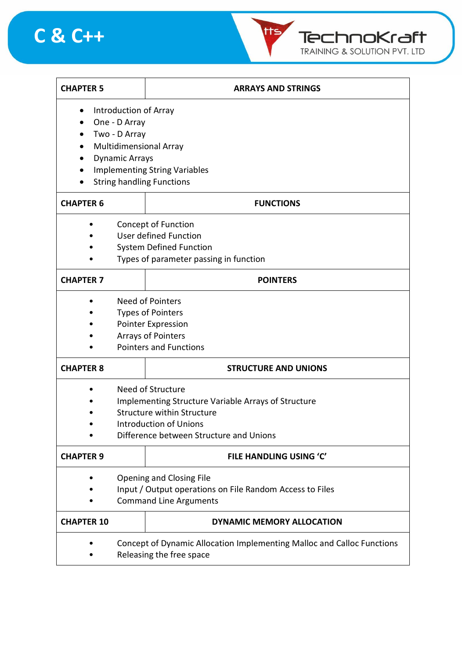



| <b>CHAPTER 5</b>  |                                                            | <b>ARRAYS AND STRINGS</b>                                              |  |
|-------------------|------------------------------------------------------------|------------------------------------------------------------------------|--|
|                   | Introduction of Array                                      |                                                                        |  |
|                   | One - D Array                                              |                                                                        |  |
|                   | Two - D Array                                              |                                                                        |  |
|                   | Multidimensional Array                                     |                                                                        |  |
|                   | <b>Dynamic Arrays</b>                                      |                                                                        |  |
|                   | <b>Implementing String Variables</b>                       |                                                                        |  |
|                   |                                                            | <b>String handling Functions</b>                                       |  |
| <b>CHAPTER 6</b>  |                                                            | <b>FUNCTIONS</b>                                                       |  |
|                   |                                                            | <b>Concept of Function</b>                                             |  |
|                   |                                                            | User defined Function                                                  |  |
|                   |                                                            | <b>System Defined Function</b>                                         |  |
|                   |                                                            | Types of parameter passing in function                                 |  |
| <b>CHAPTER 7</b>  |                                                            | <b>POINTERS</b>                                                        |  |
|                   |                                                            | Need of Pointers                                                       |  |
|                   | <b>Types of Pointers</b>                                   |                                                                        |  |
|                   | <b>Pointer Expression</b>                                  |                                                                        |  |
|                   | <b>Arrays of Pointers</b>                                  |                                                                        |  |
|                   | <b>Pointers and Functions</b>                              |                                                                        |  |
| <b>CHAPTER 8</b>  |                                                            | <b>STRUCTURE AND UNIONS</b>                                            |  |
|                   |                                                            | Need of Structure                                                      |  |
|                   | <b>Implementing Structure Variable Arrays of Structure</b> |                                                                        |  |
|                   | <b>Structure within Structure</b>                          |                                                                        |  |
|                   | <b>Introduction of Unions</b>                              |                                                                        |  |
|                   |                                                            | Difference between Structure and Unions                                |  |
| <b>CHAPTER 9</b>  |                                                            | <b>FILE HANDLING USING 'C'</b>                                         |  |
|                   |                                                            | Opening and Closing File                                               |  |
|                   | Input / Output operations on File Random Access to Files   |                                                                        |  |
|                   | <b>Command Line Arguments</b>                              |                                                                        |  |
| <b>CHAPTER 10</b> |                                                            | DYNAMIC MEMORY ALLOCATION                                              |  |
|                   |                                                            | Concept of Dynamic Allocation Implementing Malloc and Calloc Functions |  |
|                   | Releasing the free space                                   |                                                                        |  |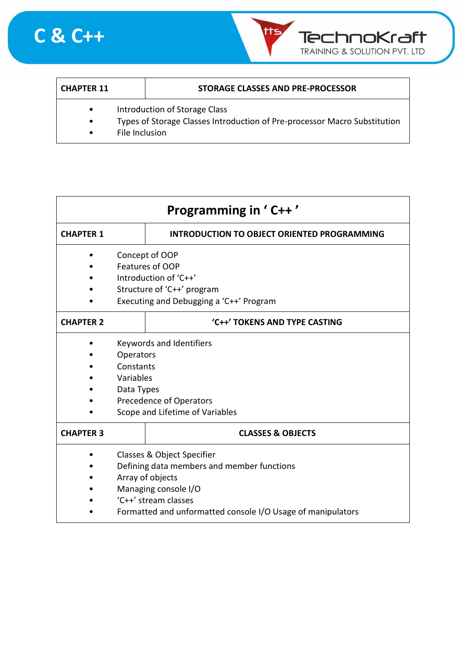



| <b>CHAPTER 11</b> |                                                                           | STORAGE CLASSES AND PRE-PROCESSOR |
|-------------------|---------------------------------------------------------------------------|-----------------------------------|
|                   | Introduction of Storage Class                                             |                                   |
|                   | Types of Storage Classes Introduction of Pre-processor Macro Substitution |                                   |

• File Inclusion

| <b>Programming in 'C++'</b> |                                                                                                                                                                                                             |                                             |
|-----------------------------|-------------------------------------------------------------------------------------------------------------------------------------------------------------------------------------------------------------|---------------------------------------------|
| <b>CHAPTER 1</b>            |                                                                                                                                                                                                             | INTRODUCTION TO OBJECT ORIENTED PROGRAMMING |
|                             | Concept of OOP<br>Features of OOP<br>Introduction of 'C++'<br>Structure of 'C++' program<br>Executing and Debugging a 'C++' Program                                                                         |                                             |
| <b>CHAPTER 2</b>            |                                                                                                                                                                                                             | 'C++' TOKENS AND TYPE CASTING               |
|                             | <b>Keywords and Identifiers</b><br>Operators<br>Constants<br>Variables<br>Data Types<br>Precedence of Operators<br>Scope and Lifetime of Variables                                                          |                                             |
| <b>CHAPTER 3</b>            |                                                                                                                                                                                                             | <b>CLASSES &amp; OBJECTS</b>                |
|                             | Classes & Object Specifier<br>Defining data members and member functions<br>Array of objects<br>Managing console I/O<br>'C++' stream classes<br>Formatted and unformatted console I/O Usage of manipulators |                                             |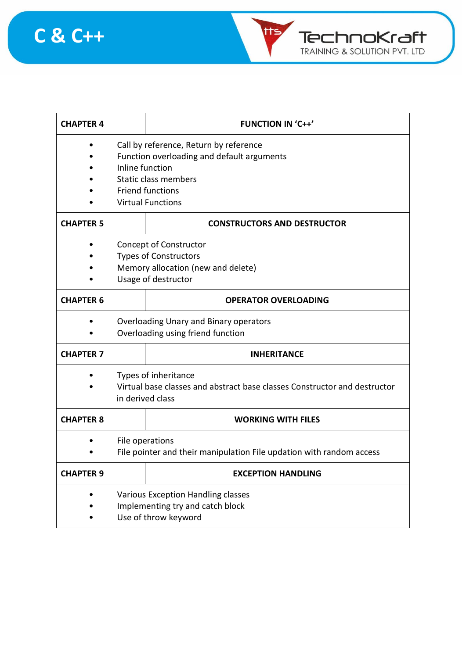



| <b>CHAPTER 4</b> |                                                                                                                                                                                               | <b>FUNCTION IN 'C++'</b>           |  |
|------------------|-----------------------------------------------------------------------------------------------------------------------------------------------------------------------------------------------|------------------------------------|--|
|                  | Call by reference, Return by reference<br>Function overloading and default arguments<br>Inline function<br><b>Static class members</b><br><b>Friend functions</b><br><b>Virtual Functions</b> |                                    |  |
| <b>CHAPTER 5</b> |                                                                                                                                                                                               | <b>CONSTRUCTORS AND DESTRUCTOR</b> |  |
|                  | <b>Concept of Constructor</b><br><b>Types of Constructors</b><br>Memory allocation (new and delete)<br>Usage of destructor                                                                    |                                    |  |
| <b>CHAPTER 6</b> |                                                                                                                                                                                               | <b>OPERATOR OVERLOADING</b>        |  |
|                  | Overloading Unary and Binary operators<br>Overloading using friend function                                                                                                                   |                                    |  |
| <b>CHAPTER 7</b> |                                                                                                                                                                                               | <b>INHERITANCE</b>                 |  |
|                  | Types of inheritance<br>Virtual base classes and abstract base classes Constructor and destructor<br>in derived class                                                                         |                                    |  |
| <b>CHAPTER 8</b> |                                                                                                                                                                                               | <b>WORKING WITH FILES</b>          |  |
|                  | File operations<br>File pointer and their manipulation File updation with random access                                                                                                       |                                    |  |
| <b>CHAPTER 9</b> |                                                                                                                                                                                               | <b>EXCEPTION HANDLING</b>          |  |
|                  | Various Exception Handling classes<br>Implementing try and catch block<br>Use of throw keyword                                                                                                |                                    |  |